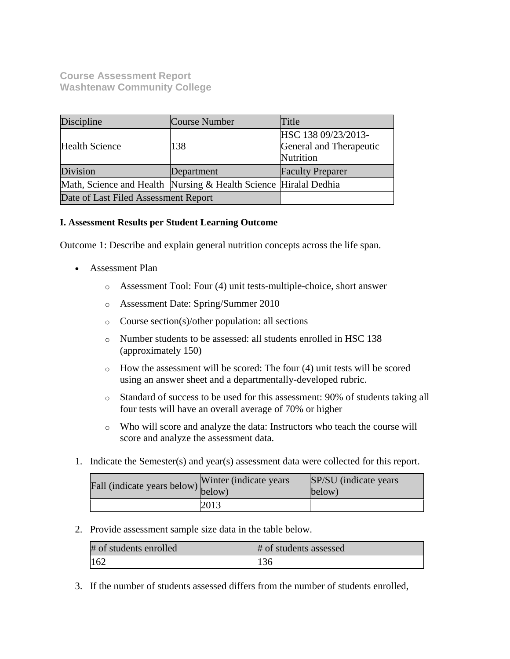## **Course Assessment Report Washtenaw Community College**

| Discipline                                                       | Course Number | Title                                                       |
|------------------------------------------------------------------|---------------|-------------------------------------------------------------|
| <b>Health Science</b>                                            | 138           | HSC 138 09/23/2013-<br>General and Therapeutic<br>Nutrition |
| Division                                                         | Department    | <b>Faculty Preparer</b>                                     |
| Math, Science and Health Nursing & Health Science Hiralal Dedhia |               |                                                             |
| Date of Last Filed Assessment Report                             |               |                                                             |

## **I. Assessment Results per Student Learning Outcome**

Outcome 1: Describe and explain general nutrition concepts across the life span.

- Assessment Plan
	- o Assessment Tool: Four (4) unit tests-multiple-choice, short answer
	- o Assessment Date: Spring/Summer 2010
	- o Course section(s)/other population: all sections
	- o Number students to be assessed: all students enrolled in HSC 138 (approximately 150)
	- $\circ$  How the assessment will be scored: The four (4) unit tests will be scored using an answer sheet and a departmentally-developed rubric.
	- o Standard of success to be used for this assessment: 90% of students taking all four tests will have an overall average of 70% or higher
	- o Who will score and analyze the data: Instructors who teach the course will score and analyze the assessment data.
- 1. Indicate the Semester(s) and year(s) assessment data were collected for this report.

| r'all (indicate years below) below) | Winter (indicate years) | SP/SU (indicate years)<br>below) |
|-------------------------------------|-------------------------|----------------------------------|
|                                     | 2013                    |                                  |

2. Provide assessment sample size data in the table below.

| # of students enrolled | # of students assessed |
|------------------------|------------------------|
| 162                    |                        |

3. If the number of students assessed differs from the number of students enrolled,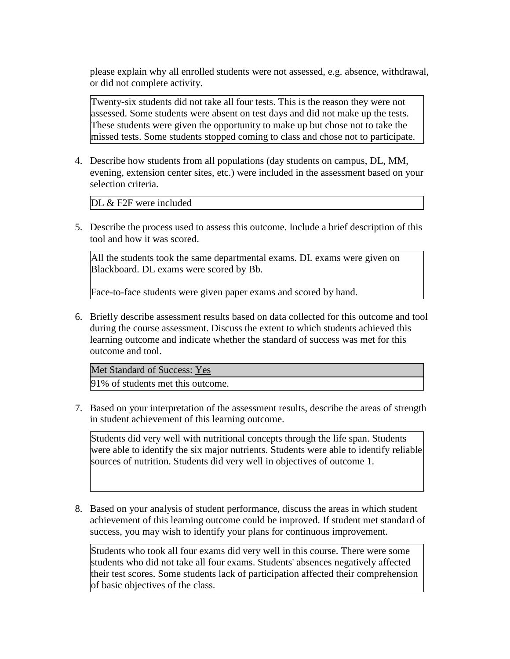please explain why all enrolled students were not assessed, e.g. absence, withdrawal, or did not complete activity.

Twenty-six students did not take all four tests. This is the reason they were not assessed. Some students were absent on test days and did not make up the tests. These students were given the opportunity to make up but chose not to take the missed tests. Some students stopped coming to class and chose not to participate.

4. Describe how students from all populations (day students on campus, DL, MM, evening, extension center sites, etc.) were included in the assessment based on your selection criteria.

DL & F2F were included

5. Describe the process used to assess this outcome. Include a brief description of this tool and how it was scored.

All the students took the same departmental exams. DL exams were given on Blackboard. DL exams were scored by Bb.

Face-to-face students were given paper exams and scored by hand.

6. Briefly describe assessment results based on data collected for this outcome and tool during the course assessment. Discuss the extent to which students achieved this learning outcome and indicate whether the standard of success was met for this outcome and tool.

Met Standard of Success: Yes 91% of students met this outcome.

7. Based on your interpretation of the assessment results, describe the areas of strength in student achievement of this learning outcome.

Students did very well with nutritional concepts through the life span. Students were able to identify the six major nutrients. Students were able to identify reliable sources of nutrition. Students did very well in objectives of outcome 1.

8. Based on your analysis of student performance, discuss the areas in which student achievement of this learning outcome could be improved. If student met standard of success, you may wish to identify your plans for continuous improvement.

Students who took all four exams did very well in this course. There were some students who did not take all four exams. Students' absences negatively affected their test scores. Some students lack of participation affected their comprehension of basic objectives of the class.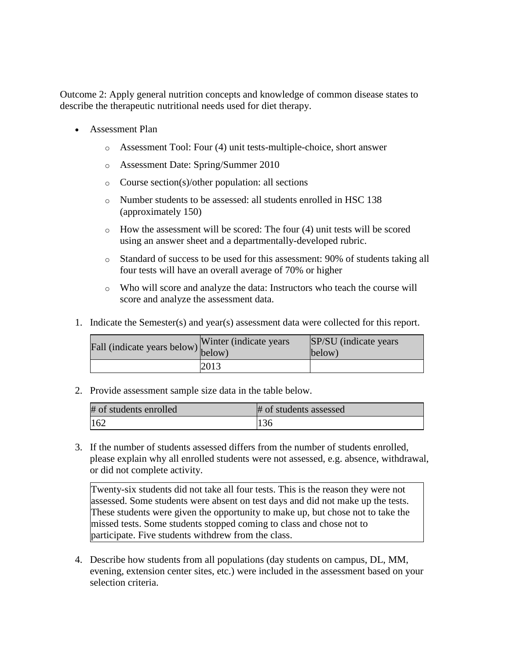Outcome 2: Apply general nutrition concepts and knowledge of common disease states to describe the therapeutic nutritional needs used for diet therapy.

- Assessment Plan
	- o Assessment Tool: Four (4) unit tests-multiple-choice, short answer
	- o Assessment Date: Spring/Summer 2010
	- o Course section(s)/other population: all sections
	- o Number students to be assessed: all students enrolled in HSC 138 (approximately 150)
	- o How the assessment will be scored: The four (4) unit tests will be scored using an answer sheet and a departmentally-developed rubric.
	- o Standard of success to be used for this assessment: 90% of students taking all four tests will have an overall average of 70% or higher
	- o Who will score and analyze the data: Instructors who teach the course will score and analyze the assessment data.
- 1. Indicate the Semester(s) and year(s) assessment data were collected for this report.

| Fall (indicate years below) below) | Winter (indicate years) | <b>SP/SU</b> (indicate years)<br>below) |
|------------------------------------|-------------------------|-----------------------------------------|
|                                    | 2013                    |                                         |

2. Provide assessment sample size data in the table below.

| # of students enrolled | # of students assessed |
|------------------------|------------------------|
| 162                    |                        |

3. If the number of students assessed differs from the number of students enrolled, please explain why all enrolled students were not assessed, e.g. absence, withdrawal, or did not complete activity.

Twenty-six students did not take all four tests. This is the reason they were not assessed. Some students were absent on test days and did not make up the tests. These students were given the opportunity to make up, but chose not to take the missed tests. Some students stopped coming to class and chose not to participate. Five students withdrew from the class.

4. Describe how students from all populations (day students on campus, DL, MM, evening, extension center sites, etc.) were included in the assessment based on your selection criteria.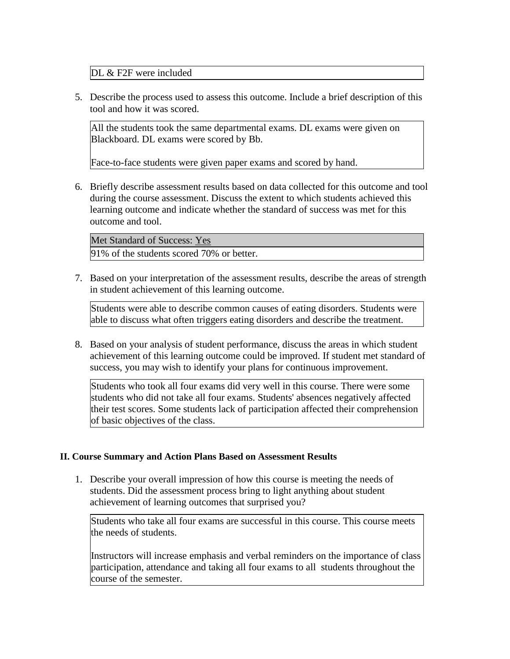DL & F2F were included

5. Describe the process used to assess this outcome. Include a brief description of this tool and how it was scored.

All the students took the same departmental exams. DL exams were given on Blackboard. DL exams were scored by Bb.

Face-to-face students were given paper exams and scored by hand.

6. Briefly describe assessment results based on data collected for this outcome and tool during the course assessment. Discuss the extent to which students achieved this learning outcome and indicate whether the standard of success was met for this outcome and tool.

Met Standard of Success: Yes 91% of the students scored 70% or better.

7. Based on your interpretation of the assessment results, describe the areas of strength in student achievement of this learning outcome.

Students were able to describe common causes of eating disorders. Students were able to discuss what often triggers eating disorders and describe the treatment.

8. Based on your analysis of student performance, discuss the areas in which student achievement of this learning outcome could be improved. If student met standard of success, you may wish to identify your plans for continuous improvement.

Students who took all four exams did very well in this course. There were some students who did not take all four exams. Students' absences negatively affected their test scores. Some students lack of participation affected their comprehension of basic objectives of the class.

## **II. Course Summary and Action Plans Based on Assessment Results**

1. Describe your overall impression of how this course is meeting the needs of students. Did the assessment process bring to light anything about student achievement of learning outcomes that surprised you?

Students who take all four exams are successful in this course. This course meets the needs of students.

Instructors will increase emphasis and verbal reminders on the importance of class participation, attendance and taking all four exams to all students throughout the course of the semester.